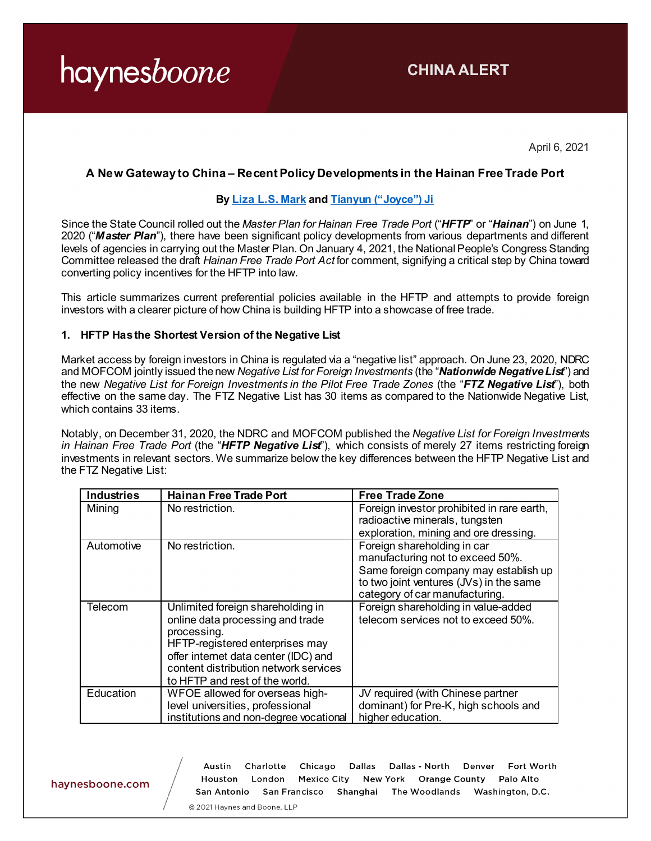**CHINA ALERT**

April 6, 2021

# **A New Gateway to China – Recent Policy Developments in the Hainan Free Trade Port**

#### **By [Liza L.S. Mark](https://www.haynesboone.com/people/m/mark-liza) an[d Tianyun \("Joyce"\) Ji](https://www.haynesboone.com/people/j/ji-tianyun)**

Since the State Council rolled out the *Master Plan for Hainan Free Trade Port* ("*HFTP*" or "*Hainan*") on June 1, 2020 ("*Master Plan*"), there have been significant policy developments from various departments and different levels of agencies in carrying out the Master Plan. On January 4, 2021, the National People's Congress Standing Committee released the draft *Hainan Free Trade Port Act* for comment, signifying a critical step by China toward converting policy incentives for the HFTP into law.

This article summarizes current preferential policies available in the HFTP and attempts to provide foreign investors with a clearer picture of how China is building HFTP into a showcase of free trade.

#### **1. HFTP Has the Shortest Version of the Negative List**

Market access by foreign investors in China is regulated via a "negative list" approach. On June 23, 2020, NDRC and MOFCOM jointly issued the new *Negative List for Foreign Investments* (the "*Nationwide Negative List*") and the new *Negative List for Foreign Investments in the Pilot Free Trade Zones* (the "*FTZ Negative List*"), both effective on the same day. The FTZ Negative List has 30 items as compared to the Nationwide Negative List, which contains 33 items.

Notably, on December 31, 2020, the NDRC and MOFCOM published the *Negative List for Foreign Investments in Hainan Free Trade Port* (the "*HFTP Negative List*"), which consists of merely 27 items restricting foreign investments in relevant sectors. We summarize below the key differences between the HFTP Negative List and the FTZ Negative List:

| <b>Industries</b> | <b>Hainan Free Trade Port</b>                                                                                                                                                                                                              | <b>Free Trade Zone</b>                                                                                                                                                                |
|-------------------|--------------------------------------------------------------------------------------------------------------------------------------------------------------------------------------------------------------------------------------------|---------------------------------------------------------------------------------------------------------------------------------------------------------------------------------------|
| Mining            | No restriction.                                                                                                                                                                                                                            | Foreign investor prohibited in rare earth,<br>radioactive minerals, tungsten<br>exploration, mining and ore dressing.                                                                 |
| Automotive        | No restriction.                                                                                                                                                                                                                            | Foreign shareholding in car<br>manufacturing not to exceed 50%.<br>Same foreign company may establish up<br>to two joint ventures (JVs) in the same<br>category of car manufacturing. |
| Telecom           | Unlimited foreign shareholding in<br>online data processing and trade<br>processing.<br>HFTP-registered enterprises may<br>offer internet data center (IDC) and<br>content distribution network services<br>to HFTP and rest of the world. | Foreign shareholding in value-added<br>telecom services not to exceed 50%.                                                                                                            |
| Education         | WFOE allowed for overseas high-<br>level universities, professional<br>institutions and non-degree vocational                                                                                                                              | JV required (with Chinese partner<br>dominant) for Pre-K, high schools and<br>higher education.                                                                                       |

haynesboone.com

Charlotte Dallas - North Fort Worth Austin Chicago **Dallas** Denver Houston London Mexico City New York Orange County Palo Alto San Antonio San Francisco Shanghai The Woodlands Washington, D.C.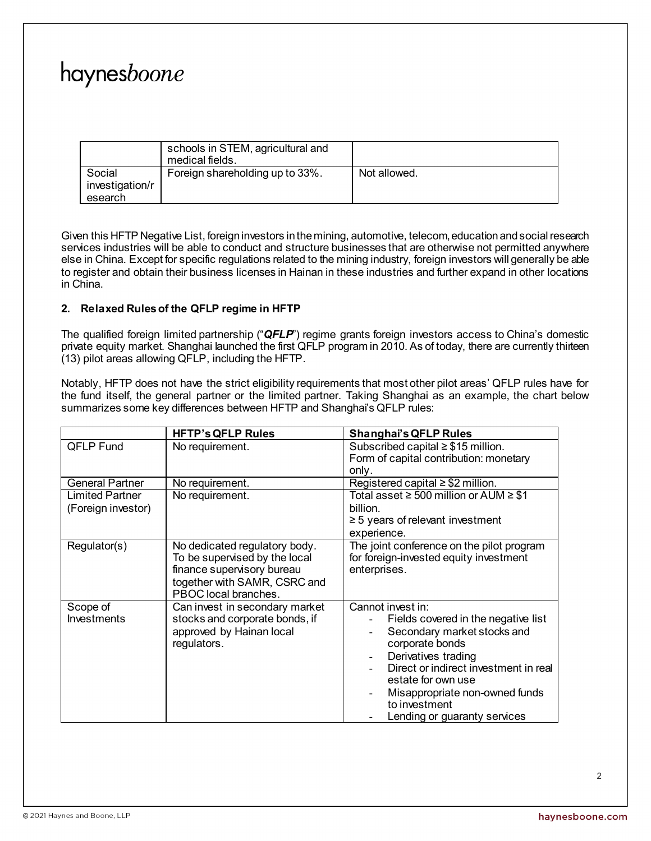|                                      | schools in STEM, agricultural and<br>medical fields. |              |
|--------------------------------------|------------------------------------------------------|--------------|
| Social<br>investigation/r<br>esearch | Foreign shareholding up to 33%.                      | Not allowed. |

Given this HFTP Negative List, foreign investors in the mining, automotive, telecom, education and social research services industries will be able to conduct and structure businesses that are otherwise not permitted anywhere else in China. Except for specific regulations related to the mining industry, foreign investors will generally be able to register and obtain their business licenses in Hainan in these industries and further expand in other locations in China.

# **2. Relaxed Rules of the QFLP regime in HFTP**

The qualified foreign limited partnership ("*QFLP*") regime grants foreign investors access to China's domestic private equity market. Shanghai launched the first QFLP program in 2010. As of today, there are currently thirteen (13) pilot areas allowing QFLP, including the HFTP.

Notably, HFTP does not have the strict eligibility requirements that most other pilot areas' QFLP rules have for the fund itself, the general partner or the limited partner. Taking Shanghai as an example, the chart below summarizes some key differences between HFTP and Shanghai's QFLP rules:

|                                              | <b>HFTP's QFLP Rules</b>                                                                                                                             | <b>Shanghai's QFLP Rules</b>                                                                                                                                                                                                                                                        |
|----------------------------------------------|------------------------------------------------------------------------------------------------------------------------------------------------------|-------------------------------------------------------------------------------------------------------------------------------------------------------------------------------------------------------------------------------------------------------------------------------------|
| <b>QFLP Fund</b>                             | No requirement.                                                                                                                                      | Subscribed capital $\geq$ \$15 million.<br>Form of capital contribution: monetary<br>only.                                                                                                                                                                                          |
| <b>General Partner</b>                       | No requirement.                                                                                                                                      | Registered capital $\geq$ \$2 million.                                                                                                                                                                                                                                              |
| <b>Limited Partner</b><br>(Foreign investor) | No requirement.                                                                                                                                      | Total asset $\geq 500$ million or AUM $\geq$ \$1<br>billion.<br>$\geq$ 5 years of relevant investment<br>experience.                                                                                                                                                                |
| Regulator(s)                                 | No dedicated regulatory body.<br>To be supervised by the local<br>finance supervisory bureau<br>together with SAMR, CSRC and<br>PBOC local branches. | The joint conference on the pilot program<br>for foreign-invested equity investment<br>enterprises.                                                                                                                                                                                 |
| Scope of<br><b>Investments</b>               | Can invest in secondary market<br>stocks and corporate bonds, if<br>approved by Hainan local<br>regulators.                                          | Cannot invest in:<br>Fields covered in the negative list<br>Secondary market stocks and<br>corporate bonds<br>Derivatives trading<br>Direct or indirect investment in real<br>estate for own use<br>Misappropriate non-owned funds<br>to investment<br>Lending or guaranty services |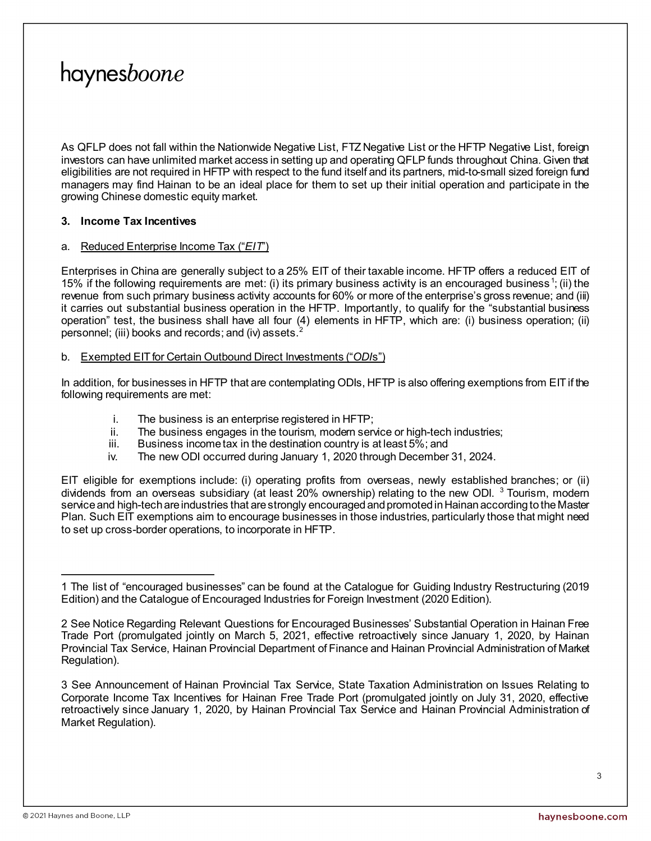As QFLP does not fall within the Nationwide Negative List, FTZ Negative List or the HFTP Negative List, foreign investors can have unlimited market access in setting up and operating QFLP funds throughout China. Given that eligibilities are not required in HFTP with respect to the fund itself and its partners, mid-to-small sized foreign fund managers may find Hainan to be an ideal place for them to set up their initial operation and participate in the growing Chinese domestic equity market.

# **3. Income Tax Incentives**

### a. Reduced Enterprise Income Tax ("*EIT*")

Enterprises in China are generally subject to a 25% EIT of their taxable income. HFTP offers a reduced EIT of [1](#page-2-0)5% if the following requirements are met: (i) its primary business activity is an encouraged business<sup>1</sup>; (ii) the revenue from such primary business activity accounts for 60% or more of the enterprise's gross revenue; and (iii) it carries out substantial business operation in the HFTP. Importantly, to qualify for the "substantial business operation" test, the business shall have all four (4) elements in HFTP, which are: (i) business operation; (ii) personnel; (iii) books and records; and (iv) assets.<sup>[2](#page-2-1)</sup>

### b. Exempted EIT for Certain Outbound Direct Investments ("*ODI*s")

In addition, for businesses in HFTP that are contemplating ODIs, HFTP is also offering exemptions from EIT if the following requirements are met:

- i. The business is an enterprise registered in HFTP;
- ii. The business engages in the tourism, modern service or high-tech industries;<br>iii. Business income tax in the destination country is at least  $5\%$ ; and
- Business income tax in the destination country is at least 5%; and
- iv. The new ODI occurred during January 1, 2020 through December 31, 2024.

EIT eligible for exemptions include: (i) operating profits from overseas, newly established branches; or (ii) dividends from an overseas subsidiary (at least 20% ownership) relating to the new ODI. <sup>[3](#page-2-2)</sup> Tourism, modern service and high-tech are industries that are strongly encouraged and promoted in Hainan according to the Master Plan. Such EIT exemptions aim to encourage businesses in those industries, particularly those that might need to set up cross-border operations, to incorporate in HFTP.

<span id="page-2-0"></span> $\overline{a}$ 1 The list of "encouraged businesses" can be found at the Catalogue for Guiding Industry Restructuring (2019 Edition) and the Catalogue of Encouraged Industries for Foreign Investment (2020 Edition).

<span id="page-2-1"></span><sup>2</sup> See Notice Regarding Relevant Questions for Encouraged Businesses' Substantial Operation in Hainan Free Trade Port (promulgated jointly on March 5, 2021, effective retroactively since January 1, 2020, by Hainan Provincial Tax Service, Hainan Provincial Department of Finance and Hainan Provincial Administration of Market Regulation).

<span id="page-2-2"></span><sup>3</sup> See Announcement of Hainan Provincial Tax Service, State Taxation Administration on Issues Relating to Corporate Income Tax Incentives for Hainan Free Trade Port (promulgated jointly on July 31, 2020, effective retroactively since January 1, 2020, by Hainan Provincial Tax Service and Hainan Provincial Administration of Market Regulation).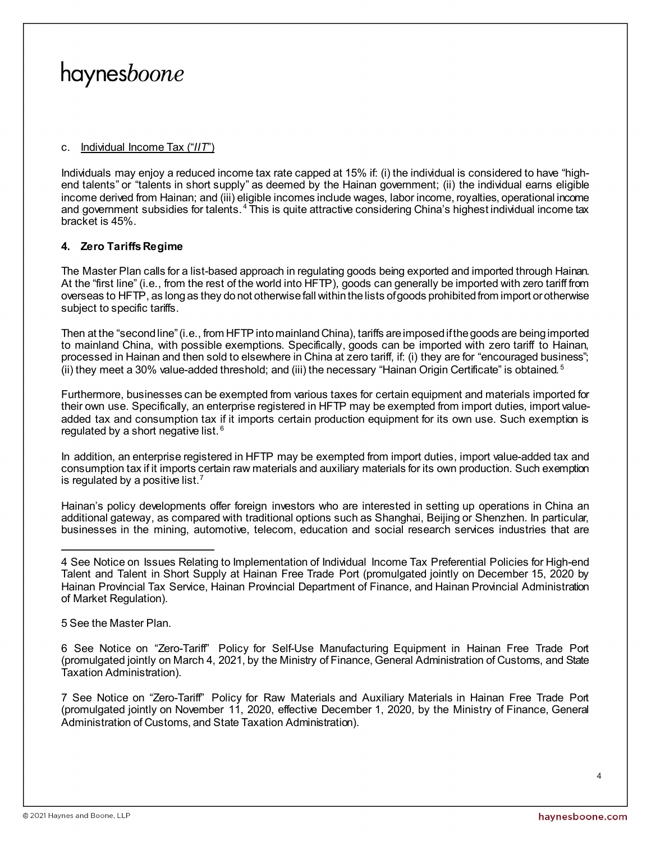#### c. Individual Income Tax ("*IIT*")

Individuals may enjoy a reduced income tax rate capped at 15% if: (i) the individual is considered to have "highend talents" or "talents in short supply" as deemed by the Hainan government; (ii) the individual earns eligible income derived from Hainan; and (iii) eligible incomes include wages, labor income, royalties, operational income and government subsidies for talents.<sup>[4](#page-3-0)</sup> This is quite attractive considering China's highest individual income tax bracket is 45%.

### **4. Zero Tariffs Regime**

The Master Plan calls for a list-based approach in regulating goods being exported and imported through Hainan. At the "first line" (i.e., from the rest of the world into HFTP), goods can generally be imported with zero tariff from overseas to HFTP, as long as they do not otherwise fall within the lists of goods prohibited from import or otherwise subject to specific tariffs.

Then at the "second line" (i.e., from HFTP into mainland China), tariffs are imposed if the goods are being imported to mainland China, with possible exemptions. Specifically, goods can be imported with zero tariff to Hainan, processed in Hainan and then sold to elsewhere in China at zero tariff, if: (i) they are for "encouraged business"; (ii) they meet a 30% value-added threshold; and (iii) the necessary "Hainan Origin Certificate" is obtained.  $5$ 

Furthermore, businesses can be exempted from various taxes for certain equipment and materials imported for their own use. Specifically, an enterprise registered in HFTP may be exempted from import duties, import valueadded tax and consumption tax if it imports certain production equipment for its own use. Such exemption is regulated by a short negative list. [6](#page-3-2)

In addition, an enterprise registered in HFTP may be exempted from import duties, import value-added tax and consumption tax if it imports certain raw materials and auxiliary materials for its own production. Such exemption is regulated by a positive list.<sup>[7](#page-3-3)</sup>

Hainan's policy developments offer foreign investors who are interested in setting up operations in China an additional gateway, as compared with traditional options such as Shanghai, Beijing or Shenzhen. In particular, businesses in the mining, automotive, telecom, education and social research services industries that are

<span id="page-3-1"></span>5 See the Master Plan.

<span id="page-3-2"></span>6 See Notice on "Zero-Tariff" Policy for Self-Use Manufacturing Equipment in Hainan Free Trade Port (promulgated jointly on March 4, 2021, by the Ministry of Finance, General Administration of Customs, and State Taxation Administration).

<span id="page-3-3"></span>7 See Notice on "Zero-Tariff" Policy for Raw Materials and Auxiliary Materials in Hainan Free Trade Port (promulgated jointly on November 11, 2020, effective December 1, 2020, by the Ministry of Finance, General Administration of Customs, and State Taxation Administration).

<span id="page-3-0"></span> $\overline{a}$ 4 See Notice on Issues Relating to Implementation of Individual Income Tax Preferential Policies for High-end Talent and Talent in Short Supply at Hainan Free Trade Port (promulgated jointly on December 15, 2020 by Hainan Provincial Tax Service, Hainan Provincial Department of Finance, and Hainan Provincial Administration of Market Regulation).